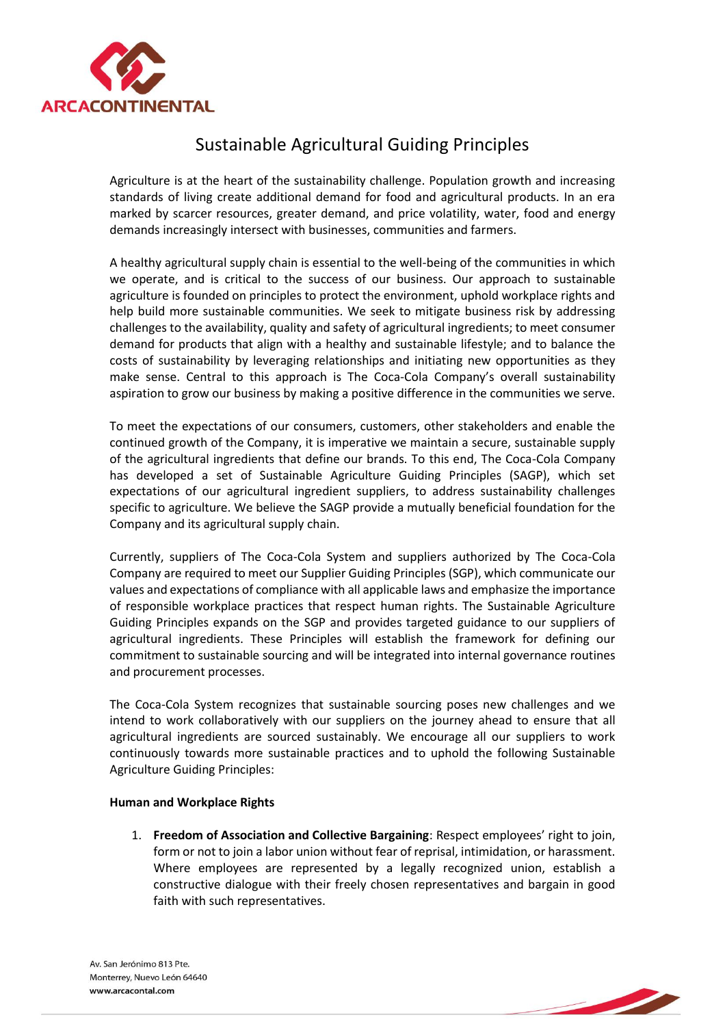

## Sustainable Agricultural Guiding Principles

Agriculture is at the heart of the sustainability challenge. Population growth and increasing standards of living create additional demand for food and agricultural products. In an era marked by scarcer resources, greater demand, and price volatility, water, food and energy demands increasingly intersect with businesses, communities and farmers.

A healthy agricultural supply chain is essential to the well-being of the communities in which we operate, and is critical to the success of our business. Our approach to sustainable agriculture is founded on principles to protect the environment, uphold workplace rights and help build more sustainable communities. We seek to mitigate business risk by addressing challenges to the availability, quality and safety of agricultural ingredients; to meet consumer demand for products that align with a healthy and sustainable lifestyle; and to balance the costs of sustainability by leveraging relationships and initiating new opportunities as they make sense. Central to this approach is The Coca-Cola Company's overall sustainability aspiration to grow our business by making a positive difference in the communities we serve.

To meet the expectations of our consumers, customers, other stakeholders and enable the continued growth of the Company, it is imperative we maintain a secure, sustainable supply of the agricultural ingredients that define our brands. To this end, The Coca-Cola Company has developed a set of Sustainable Agriculture Guiding Principles (SAGP), which set expectations of our agricultural ingredient suppliers, to address sustainability challenges specific to agriculture. We believe the SAGP provide a mutually beneficial foundation for the Company and its agricultural supply chain.

Currently, suppliers of The Coca-Cola System and suppliers authorized by The Coca-Cola Company are required to meet our Supplier Guiding Principles (SGP), which communicate our values and expectations of compliance with all applicable laws and emphasize the importance of responsible workplace practices that respect human rights. The Sustainable Agriculture Guiding Principles expands on the SGP and provides targeted guidance to our suppliers of agricultural ingredients. These Principles will establish the framework for defining our commitment to sustainable sourcing and will be integrated into internal governance routines and procurement processes.

The Coca-Cola System recognizes that sustainable sourcing poses new challenges and we intend to work collaboratively with our suppliers on the journey ahead to ensure that all agricultural ingredients are sourced sustainably. We encourage all our suppliers to work continuously towards more sustainable practices and to uphold the following Sustainable Agriculture Guiding Principles:

## **Human and Workplace Rights**

1. **Freedom of Association and Collective Bargaining**: Respect employees' right to join, form or not to join a labor union without fear of reprisal, intimidation, or harassment. Where employees are represented by a legally recognized union, establish a constructive dialogue with their freely chosen representatives and bargain in good faith with such representatives.

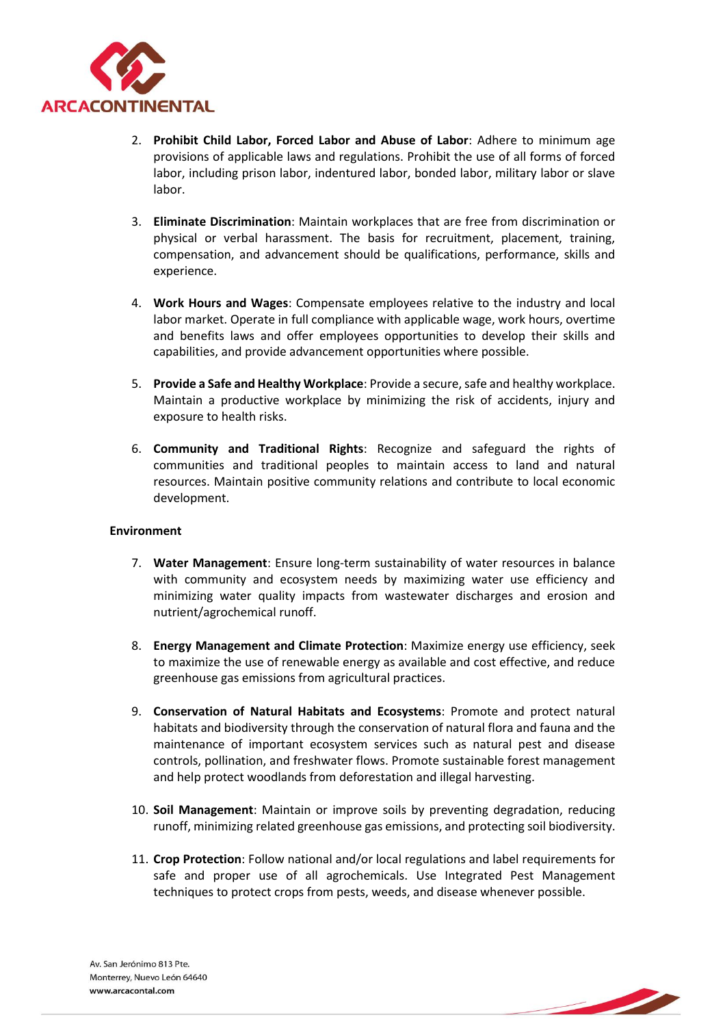

- 2. **Prohibit Child Labor, Forced Labor and Abuse of Labor**: Adhere to minimum age provisions of applicable laws and regulations. Prohibit the use of all forms of forced labor, including prison labor, indentured labor, bonded labor, military labor or slave labor.
- 3. **Eliminate Discrimination**: Maintain workplaces that are free from discrimination or physical or verbal harassment. The basis for recruitment, placement, training, compensation, and advancement should be qualifications, performance, skills and experience.
- 4. **Work Hours and Wages**: Compensate employees relative to the industry and local labor market. Operate in full compliance with applicable wage, work hours, overtime and benefits laws and offer employees opportunities to develop their skills and capabilities, and provide advancement opportunities where possible.
- 5. **Provide a Safe and Healthy Workplace**: Provide a secure, safe and healthy workplace. Maintain a productive workplace by minimizing the risk of accidents, injury and exposure to health risks.
- 6. **Community and Traditional Rights**: Recognize and safeguard the rights of communities and traditional peoples to maintain access to land and natural resources. Maintain positive community relations and contribute to local economic development.

## **Environment**

- 7. **Water Management**: Ensure long-term sustainability of water resources in balance with community and ecosystem needs by maximizing water use efficiency and minimizing water quality impacts from wastewater discharges and erosion and nutrient/agrochemical runoff.
- 8. **Energy Management and Climate Protection**: Maximize energy use efficiency, seek to maximize the use of renewable energy as available and cost effective, and reduce greenhouse gas emissions from agricultural practices.
- 9. **Conservation of Natural Habitats and Ecosystems**: Promote and protect natural habitats and biodiversity through the conservation of natural flora and fauna and the maintenance of important ecosystem services such as natural pest and disease controls, pollination, and freshwater flows. Promote sustainable forest management and help protect woodlands from deforestation and illegal harvesting.
- 10. **Soil Management**: Maintain or improve soils by preventing degradation, reducing runoff, minimizing related greenhouse gas emissions, and protecting soil biodiversity.
- 11. **Crop Protection**: Follow national and/or local regulations and label requirements for safe and proper use of all agrochemicals. Use Integrated Pest Management techniques to protect crops from pests, weeds, and disease whenever possible.